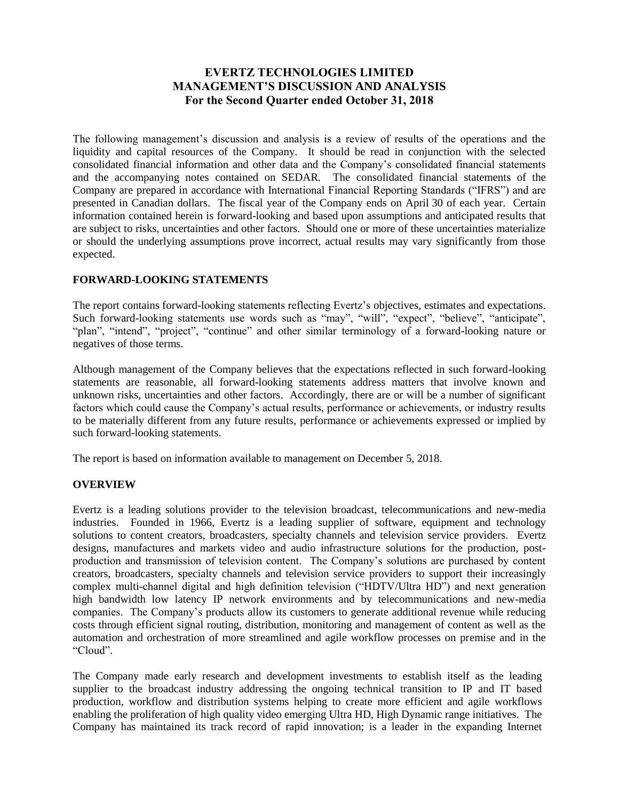# **EVERTZ TECHNOLOGIES LIMITED MANAGEMENT'S DISCUSSION AND ANALYSIS For the Second Quarter ended October 31, 2018**

The following management's discussion and analysis is a review of results of the operations and the liquidity and capital resources of the Company. It should be read in conjunction with the selected consolidated financial information and other data and the Company's consolidated financial statements and the accompanying notes contained on SEDAR. The consolidated financial statements of the Company are prepared in accordance with International Financial Reporting Standards ("IFRS") and are presented in Canadian dollars. The fiscal year of the Company ends on April 30 of each year. Certain information contained herein is forward-looking and based upon assumptions and anticipated results that are subject to risks, uncertainties and other factors. Should one or more of these uncertainties materialize or should the underlying assumptions prove incorrect, actual results may vary significantly from those expected.

## **FORWARD-LOOKING STATEMENTS**

The report contains forward-looking statements reflecting Evertz's objectives, estimates and expectations. Such forward-looking statements use words such as "may", "will", "expect", "believe", "anticipate", "plan", "intend", "project", "continue" and other similar terminology of a forward-looking nature or negatives of those terms.

Although management of the Company believes that the expectations reflected in such forward-looking statements are reasonable, all forward-looking statements address matters that involve known and unknown risks, uncertainties and other factors. Accordingly, there are or will be a number of significant factors which could cause the Company's actual results, performance or achievements, or industry results to be materially different from any future results, performance or achievements expressed or implied by such forward-looking statements.

The report is based on information available to management on December 5, 2018.

### **OVERVIEW**

Evertz is a leading solutions provider to the television broadcast, telecommunications and new-media industries. Founded in 1966, Evertz is a leading supplier of software, equipment and technology solutions to content creators, broadcasters, specialty channels and television service providers. Evertz designs, manufactures and markets video and audio infrastructure solutions for the production, postproduction and transmission of television content. The Company's solutions are purchased by content creators, broadcasters, specialty channels and television service providers to support their increasingly complex multi-channel digital and high definition television ("HDTV/Ultra HD") and next generation high bandwidth low latency IP network environments and by telecommunications and new-media companies. The Company's products allow its customers to generate additional revenue while reducing costs through efficient signal routing, distribution, monitoring and management of content as well as the automation and orchestration of more streamlined and agile workflow processes on premise and in the "Cloud".

The Company made early research and development investments to establish itself as the leading supplier to the broadcast industry addressing the ongoing technical transition to IP and IT based production, workflow and distribution systems helping to create more efficient and agile workflows enabling the proliferation of high quality video emerging Ultra HD, High Dynamic range initiatives. The Company has maintained its track record of rapid innovation; is a leader in the expanding Internet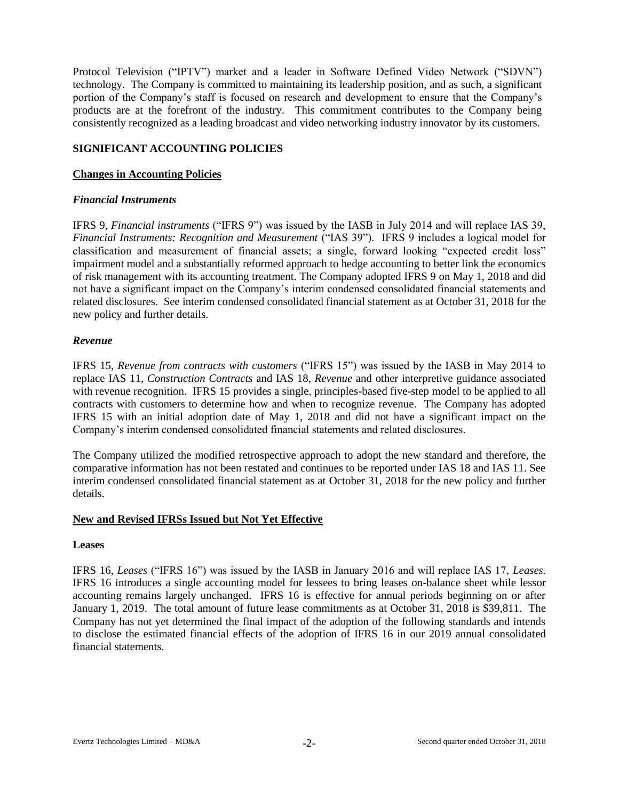Protocol Television ("IPTV") market and a leader in Software Defined Video Network ("SDVN") technology. The Company is committed to maintaining its leadership position, and as such, a significant portion of the Company's staff is focused on research and development to ensure that the Company's products are at the forefront of the industry. This commitment contributes to the Company being consistently recognized as a leading broadcast and video networking industry innovator by its customers.

### **SIGNIFICANT ACCOUNTING POLICIES**

#### **Changes in Accounting Policies**

#### *Financial Instruments*

IFRS 9, *Financial instruments* ("IFRS 9") was issued by the IASB in July 2014 and will replace IAS 39, *Financial Instruments: Recognition and Measurement* ("IAS 39"). IFRS 9 includes a logical model for classification and measurement of financial assets; a single, forward looking "expected credit loss" impairment model and a substantially reformed approach to hedge accounting to better link the economics of risk management with its accounting treatment. The Company adopted IFRS 9 on May 1, 2018 and did not have a significant impact on the Company's interim condensed consolidated financial statements and related disclosures. See interim condensed consolidated financial statement as at October 31, 2018 for the new policy and further details.

#### *Revenue*

IFRS 15, *Revenue from contracts with customers* ("IFRS 15") was issued by the IASB in May 2014 to replace IAS 11, *Construction Contracts* and IAS 18, *Revenue* and other interpretive guidance associated with revenue recognition. IFRS 15 provides a single, principles-based five-step model to be applied to all contracts with customers to determine how and when to recognize revenue. The Company has adopted IFRS 15 with an initial adoption date of May 1, 2018 and did not have a significant impact on the Company's interim condensed consolidated financial statements and related disclosures.

The Company utilized the modified retrospective approach to adopt the new standard and therefore, the comparative information has not been restated and continues to be reported under IAS 18 and IAS 11. See interim condensed consolidated financial statement as at October 31, 2018 for the new policy and further details.

### **New and Revised IFRSs Issued but Not Yet Effective**

#### **Leases**

IFRS 16, *Leases* ("IFRS 16") was issued by the IASB in January 2016 and will replace IAS 17, *Leases.* IFRS 16 introduces a single accounting model for lessees to bring leases on-balance sheet while lessor accounting remains largely unchanged. IFRS 16 is effective for annual periods beginning on or after January 1, 2019. The total amount of future lease commitments as at October 31, 2018 is \$39,811. The Company has not yet determined the final impact of the adoption of the following standards and intends to disclose the estimated financial effects of the adoption of IFRS 16 in our 2019 annual consolidated financial statements.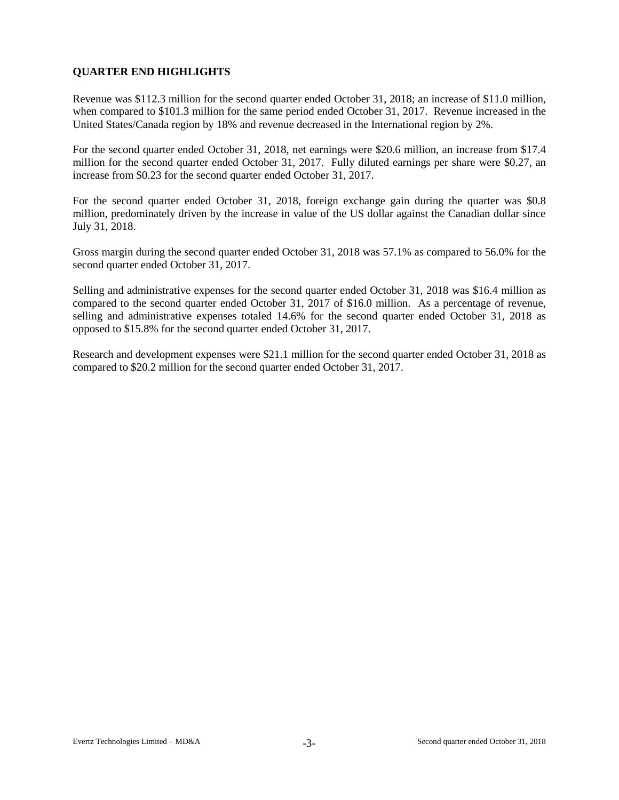# **QUARTER END HIGHLIGHTS**

Revenue was \$112.3 million for the second quarter ended October 31, 2018; an increase of \$11.0 million, when compared to \$101.3 million for the same period ended October 31, 2017. Revenue increased in the United States/Canada region by 18% and revenue decreased in the International region by 2%.

For the second quarter ended October 31, 2018, net earnings were \$20.6 million, an increase from \$17.4 million for the second quarter ended October 31, 2017. Fully diluted earnings per share were \$0.27, an increase from \$0.23 for the second quarter ended October 31, 2017.

For the second quarter ended October 31, 2018, foreign exchange gain during the quarter was \$0.8 million, predominately driven by the increase in value of the US dollar against the Canadian dollar since July 31, 2018.

Gross margin during the second quarter ended October 31, 2018 was 57.1% as compared to 56.0% for the second quarter ended October 31, 2017.

Selling and administrative expenses for the second quarter ended October 31, 2018 was \$16.4 million as compared to the second quarter ended October 31, 2017 of \$16.0 million. As a percentage of revenue, selling and administrative expenses totaled 14.6% for the second quarter ended October 31, 2018 as opposed to \$15.8% for the second quarter ended October 31, 2017.

Research and development expenses were \$21.1 million for the second quarter ended October 31, 2018 as compared to \$20.2 million for the second quarter ended October 31, 2017.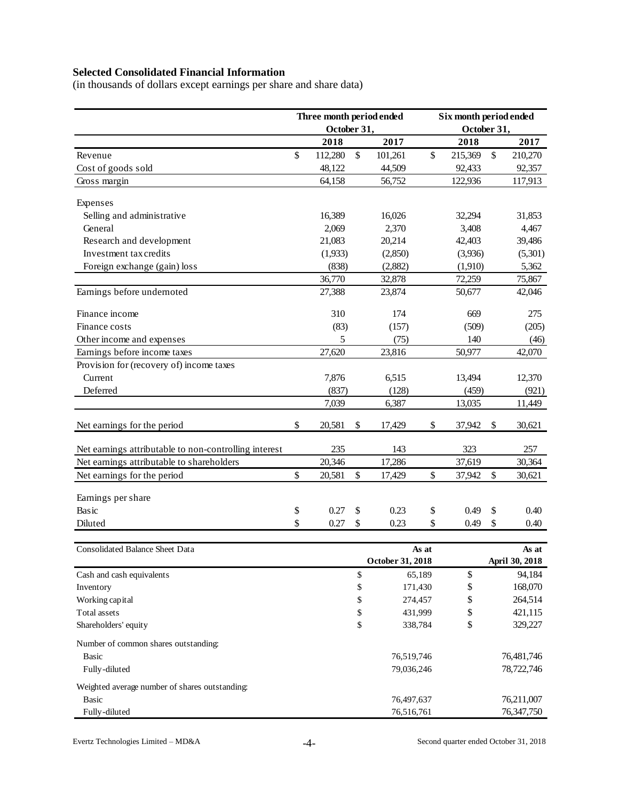# **Selected Consolidated Financial Information**

(in thousands of dollars except earnings per share and share data)

|                                                       |    | Three month period ended |                  | Six month period ended |             |    |                         |  |  |
|-------------------------------------------------------|----|--------------------------|------------------|------------------------|-------------|----|-------------------------|--|--|
|                                                       |    | October 31,              |                  |                        | October 31, |    |                         |  |  |
|                                                       |    | 2018                     | 2017             |                        | 2018        |    | 2017                    |  |  |
| Revenue                                               | \$ | 112,280                  | \$<br>101,261    | \$                     | 215,369     | \$ | 210,270                 |  |  |
| Cost of goods sold                                    |    | 48,122                   | 44,509           |                        | 92,433      |    | 92,357                  |  |  |
| Gross margin                                          |    | 64,158                   | 56,752           |                        | 122,936     |    | 117,913                 |  |  |
|                                                       |    |                          |                  |                        |             |    |                         |  |  |
| Expenses                                              |    |                          |                  |                        |             |    |                         |  |  |
| Selling and administrative                            |    | 16,389                   | 16,026           |                        | 32,294      |    | 31,853                  |  |  |
| General                                               |    | 2,069                    | 2,370            |                        | 3,408       |    | 4,467                   |  |  |
| Research and development                              |    | 21,083                   | 20,214           |                        | 42,403      |    | 39,486                  |  |  |
| Investment tax credits                                |    | (1,933)                  | (2,850)          |                        | (3,936)     |    | (5,301)                 |  |  |
| Foreign exchange (gain) loss                          |    | (838)                    | (2,882)          |                        | (1,910)     |    | 5,362                   |  |  |
|                                                       |    | 36,770                   | 32,878           |                        | 72,259      |    | 75,867                  |  |  |
| Earnings before undernoted                            |    | 27,388                   | 23,874           |                        | 50,677      |    | 42,046                  |  |  |
| Finance income                                        |    | 310                      | 174              |                        | 669         |    | 275                     |  |  |
| Finance costs                                         |    | (83)                     | (157)            |                        | (509)       |    | (205)                   |  |  |
| Other income and expenses                             |    | 5                        | (75)             |                        | 140         |    | (46)                    |  |  |
| Earnings before income taxes                          |    | 27,620                   | 23,816           |                        | 50,977      |    | 42,070                  |  |  |
| Provision for (recovery of) income taxes              |    |                          |                  |                        |             |    |                         |  |  |
| Current                                               |    | 7,876                    | 6,515            |                        | 13,494      |    | 12,370                  |  |  |
| Deferred                                              |    | (837)                    | (128)            |                        | (459)       |    | (921)                   |  |  |
|                                                       |    | 7,039                    | 6,387            |                        | 13,035      |    | 11,449                  |  |  |
| Net earnings for the period                           | \$ | 20,581                   | \$<br>17,429     | \$                     | 37,942      | \$ | 30,621                  |  |  |
| Net earnings attributable to non-controlling interest |    | 235                      | 143              |                        | 323         |    | 257                     |  |  |
| Net earnings attributable to shareholders             |    | 20,346                   | 17,286           |                        | 37,619      |    | 30,364                  |  |  |
| Net earnings for the period                           | \$ | 20,581                   | \$<br>17,429     | \$                     | 37,942      | \$ | 30,621                  |  |  |
|                                                       |    |                          |                  |                        |             |    |                         |  |  |
| Earnings per share                                    |    |                          |                  |                        |             |    |                         |  |  |
| Basic                                                 | \$ | 0.27                     | \$<br>0.23       | \$                     | 0.49        | \$ | 0.40                    |  |  |
| Diluted                                               | \$ | 0.27                     | \$<br>0.23       | \$                     | 0.49        | \$ | 0.40                    |  |  |
|                                                       |    |                          |                  |                        |             |    |                         |  |  |
| Consolidated Balance Sheet Data                       |    |                          | October 31, 2018 | As at                  |             |    | As at<br>April 30, 2018 |  |  |
| Cash and cash equivalents                             |    |                          | \$               | 65,189                 | \$          |    | 94,184                  |  |  |
| Inventory                                             |    |                          | \$<br>171,430    |                        | \$          |    | 168,070                 |  |  |
| Working capital                                       |    |                          | \$<br>274,457    |                        | \$          |    | 264,514                 |  |  |
| Total assets                                          |    |                          | \$<br>431,999    |                        | \$          |    | 421,115                 |  |  |
| Shareholders' equity                                  |    |                          | \$<br>338,784    |                        | \$          |    | 329,227                 |  |  |
|                                                       |    |                          |                  |                        |             |    |                         |  |  |
| Number of common shares outstanding:                  |    |                          |                  |                        |             |    |                         |  |  |
| Basic                                                 |    |                          | 76,519,746       |                        |             |    | 76,481,746              |  |  |
| Fully-diluted                                         |    |                          | 79,036,246       |                        |             |    | 78,722,746              |  |  |
| Weighted average number of shares outstanding:        |    |                          |                  |                        |             |    |                         |  |  |
| <b>Basic</b>                                          |    |                          | 76,497,637       |                        |             |    | 76,211,007              |  |  |
| Fully-diluted                                         |    |                          | 76,516,761       |                        |             |    | 76, 347, 750            |  |  |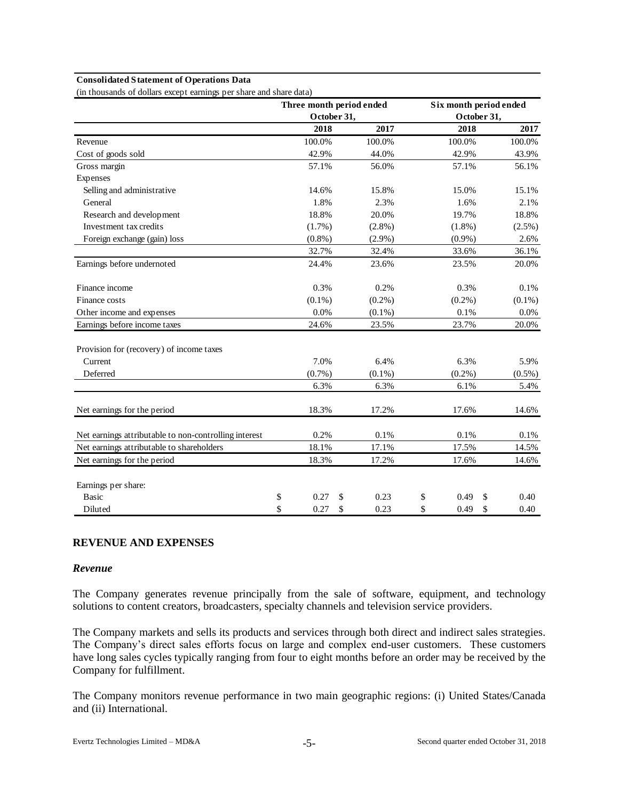#### **Consolidated Statement of Operations Data**

(in thousands of dollars except earnings per share and share data)

|                                                       |             | Three month period ended | Six month period ended |            |
|-------------------------------------------------------|-------------|--------------------------|------------------------|------------|
|                                                       | October 31, |                          | October 31,            |            |
|                                                       | 2018        | 2017                     | 2018                   | 2017       |
| Revenue                                               | 100.0%      | 100.0%                   | 100.0%                 | 100.0%     |
| Cost of goods sold                                    | 42.9%       | 44.0%                    | 42.9%                  | 43.9%      |
| Gross margin                                          | 57.1%       | 56.0%                    | 57.1%                  | 56.1%      |
| Expenses                                              |             |                          |                        |            |
| Selling and administrative                            | 14.6%       | 15.8%                    | 15.0%                  | 15.1%      |
| General                                               | 1.8%        | 2.3%                     | 1.6%                   | 2.1%       |
| Research and development                              | 18.8%       | 20.0%                    | 19.7%                  | 18.8%      |
| Investment tax credits                                | $(1.7\%)$   | $(2.8\%)$                | $(1.8\%)$              | $(2.5\%)$  |
| Foreign exchange (gain) loss                          | $(0.8\%)$   | $(2.9\%)$                | $(0.9\%)$              | 2.6%       |
|                                                       | 32.7%       | 32.4%                    | 33.6%                  | 36.1%      |
| Earnings before undernoted                            | 24.4%       | 23.6%                    | 23.5%                  | 20.0%      |
| Finance income                                        | 0.3%        | 0.2%                     | 0.3%                   | 0.1%       |
| Finance costs                                         | $(0.1\%)$   | $(0.2\%)$                | $(0.2\%)$              | $(0.1\%)$  |
| Other income and expenses                             | 0.0%        | $(0.1\%)$                | 0.1%                   | 0.0%       |
| Earnings before income taxes                          | 24.6%       | 23.5%                    | 23.7%                  | 20.0%      |
| Provision for (recovery) of income taxes              |             |                          |                        |            |
| Current                                               | 7.0%        | 6.4%                     | 6.3%                   | 5.9%       |
| Deferred                                              | $(0.7\%)$   | $(0.1\%)$                | $(0.2\%)$              | $(0.5\%)$  |
|                                                       | 6.3%        | 6.3%                     | 6.1%                   | 5.4%       |
| Net earnings for the period                           | 18.3%       | 17.2%                    | 17.6%                  | 14.6%      |
| Net earnings attributable to non-controlling interest | 0.2%        | 0.1%                     | 0.1%                   | 0.1%       |
| Net earnings attributable to shareholders             | 18.1%       | 17.1%                    | 17.5%                  | 14.5%      |
| Net earnings for the period                           | 18.3%       | 17.2%                    | 17.6%                  | 14.6%      |
| Earnings per share:                                   |             |                          |                        |            |
| <b>Basic</b>                                          | \$<br>0.27  | \$<br>0.23               | \$<br>0.49             | \$<br>0.40 |
| Diluted                                               | \$<br>0.27  | \$<br>0.23               | \$<br>0.49             | \$<br>0.40 |

#### **REVENUE AND EXPENSES**

#### *Revenue*

The Company generates revenue principally from the sale of software, equipment, and technology solutions to content creators, broadcasters, specialty channels and television service providers.

The Company markets and sells its products and services through both direct and indirect sales strategies. The Company's direct sales efforts focus on large and complex end-user customers. These customers have long sales cycles typically ranging from four to eight months before an order may be received by the Company for fulfillment.

The Company monitors revenue performance in two main geographic regions: (i) United States/Canada and (ii) International.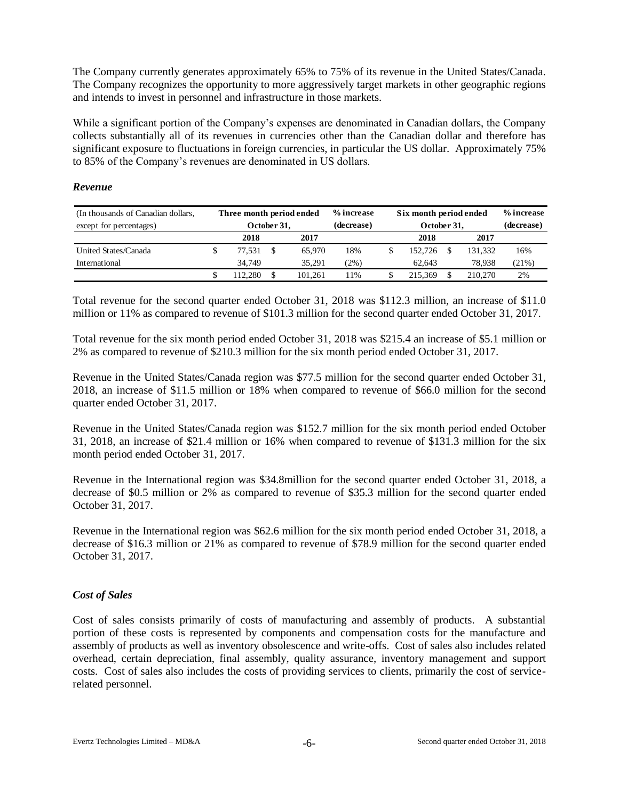The Company currently generates approximately 65% to 75% of its revenue in the United States/Canada. The Company recognizes the opportunity to more aggressively target markets in other geographic regions and intends to invest in personnel and infrastructure in those markets.

While a significant portion of the Company's expenses are denominated in Canadian dollars, the Company collects substantially all of its revenues in currencies other than the Canadian dollar and therefore has significant exposure to fluctuations in foreign currencies, in particular the US dollar. Approximately 75% to 85% of the Company's revenues are denominated in US dollars.

### *Revenue*

| (In thousands of Canadian dollars, | Three month period ended |              |  |         | % increase | Six month period ended | % increase |       |
|------------------------------------|--------------------------|--------------|--|---------|------------|------------------------|------------|-------|
| except for percentages)            |                          | October 31,  |  |         | (decrease) | October 31,            | (decrease) |       |
|                                    |                          | 2018<br>2017 |  |         |            | 2018                   | 2017       |       |
| United States/Canada               |                          | 77.531       |  | 65,970  | 18%        | 152.726                | 131.332    | 16%   |
| International                      |                          | 34.749       |  | 35.291  | (2%)       | 62.643                 | 78.938     | (21%) |
|                                    |                          | 12.280       |  | 101.261 | 11%        | 215.369                | 210,270    | 2%    |

Total revenue for the second quarter ended October 31, 2018 was \$112.3 million, an increase of \$11.0 million or 11% as compared to revenue of \$101.3 million for the second quarter ended October 31, 2017.

Total revenue for the six month period ended October 31, 2018 was \$215.4 an increase of \$5.1 million or 2% as compared to revenue of \$210.3 million for the six month period ended October 31, 2017.

Revenue in the United States/Canada region was \$77.5 million for the second quarter ended October 31, 2018, an increase of \$11.5 million or 18% when compared to revenue of \$66.0 million for the second quarter ended October 31, 2017.

Revenue in the United States/Canada region was \$152.7 million for the six month period ended October 31, 2018, an increase of \$21.4 million or 16% when compared to revenue of \$131.3 million for the six month period ended October 31, 2017.

Revenue in the International region was \$34.8million for the second quarter ended October 31, 2018, a decrease of \$0.5 million or 2% as compared to revenue of \$35.3 million for the second quarter ended October 31, 2017.

Revenue in the International region was \$62.6 million for the six month period ended October 31, 2018, a decrease of \$16.3 million or 21% as compared to revenue of \$78.9 million for the second quarter ended October 31, 2017.

### *Cost of Sales*

Cost of sales consists primarily of costs of manufacturing and assembly of products. A substantial portion of these costs is represented by components and compensation costs for the manufacture and assembly of products as well as inventory obsolescence and write-offs. Cost of sales also includes related overhead, certain depreciation, final assembly, quality assurance, inventory management and support costs. Cost of sales also includes the costs of providing services to clients, primarily the cost of servicerelated personnel.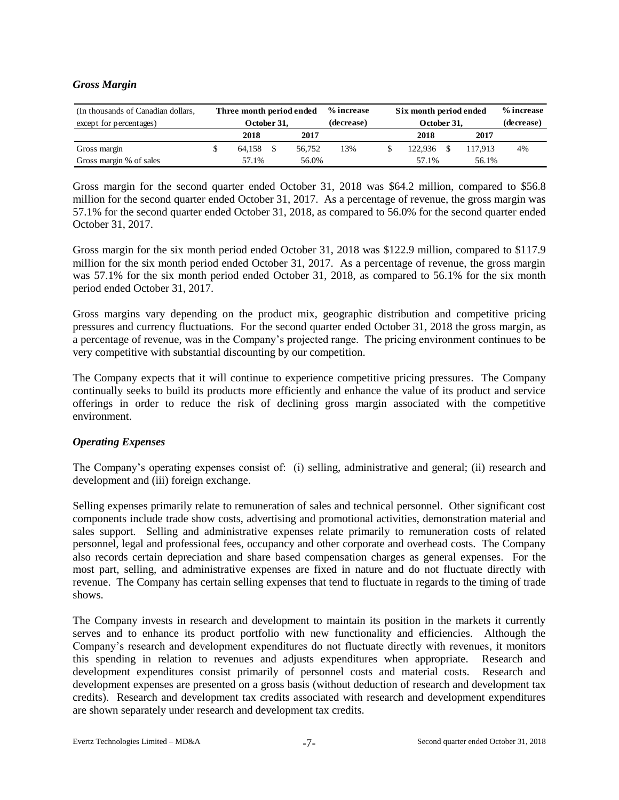### *Gross Margin*

| (In thousands of Canadian dollars, | Three month period ended |      |        | % increase | Six month period ended | % increase |    |
|------------------------------------|--------------------------|------|--------|------------|------------------------|------------|----|
| except for percentages)            | October 31.              |      |        | (decrease) | October 31,            | (decrease) |    |
|                                    | 2018                     | 2017 |        | 2018       | 2017                   |            |    |
| Gross margin                       | 64.158                   |      | 56,752 | 13%        | 122.936                | 117.913    | 4% |
| Gross margin % of sales            | 57.1%                    |      | 56.0%  |            | 57.1%                  | 56.1%      |    |

Gross margin for the second quarter ended October 31, 2018 was \$64.2 million, compared to \$56.8 million for the second quarter ended October 31, 2017. As a percentage of revenue, the gross margin was 57.1% for the second quarter ended October 31, 2018, as compared to 56.0% for the second quarter ended October 31, 2017.

Gross margin for the six month period ended October 31, 2018 was \$122.9 million, compared to \$117.9 million for the six month period ended October 31, 2017. As a percentage of revenue, the gross margin was 57.1% for the six month period ended October 31, 2018, as compared to 56.1% for the six month period ended October 31, 2017.

Gross margins vary depending on the product mix, geographic distribution and competitive pricing pressures and currency fluctuations. For the second quarter ended October 31, 2018 the gross margin, as a percentage of revenue, was in the Company's projected range. The pricing environment continues to be very competitive with substantial discounting by our competition.

The Company expects that it will continue to experience competitive pricing pressures. The Company continually seeks to build its products more efficiently and enhance the value of its product and service offerings in order to reduce the risk of declining gross margin associated with the competitive environment.

### *Operating Expenses*

The Company's operating expenses consist of: (i) selling, administrative and general; (ii) research and development and (iii) foreign exchange.

Selling expenses primarily relate to remuneration of sales and technical personnel. Other significant cost components include trade show costs, advertising and promotional activities, demonstration material and sales support. Selling and administrative expenses relate primarily to remuneration costs of related personnel, legal and professional fees, occupancy and other corporate and overhead costs. The Company also records certain depreciation and share based compensation charges as general expenses. For the most part, selling, and administrative expenses are fixed in nature and do not fluctuate directly with revenue. The Company has certain selling expenses that tend to fluctuate in regards to the timing of trade shows.

The Company invests in research and development to maintain its position in the markets it currently serves and to enhance its product portfolio with new functionality and efficiencies. Although the Company's research and development expenditures do not fluctuate directly with revenues, it monitors this spending in relation to revenues and adjusts expenditures when appropriate. Research and development expenditures consist primarily of personnel costs and material costs. Research and development expenses are presented on a gross basis (without deduction of research and development tax credits). Research and development tax credits associated with research and development expenditures are shown separately under research and development tax credits.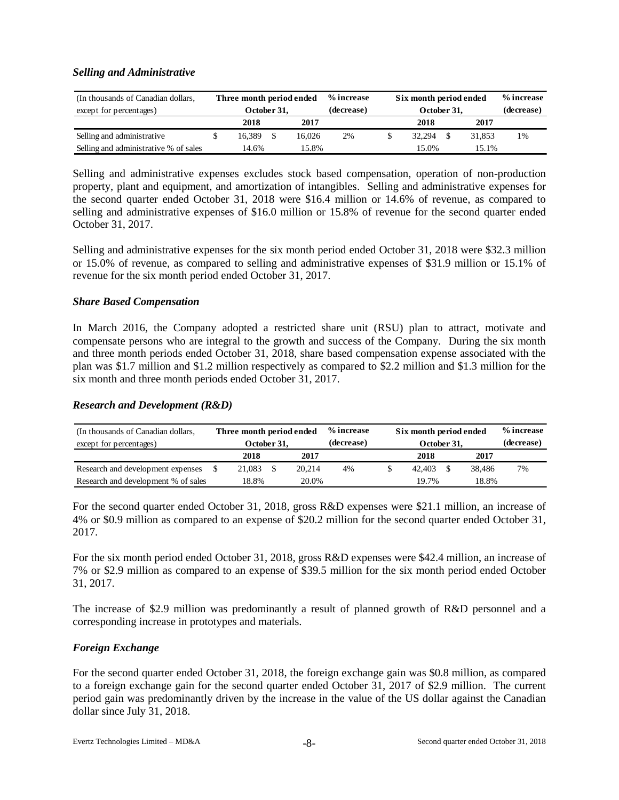### *Selling and Administrative*

| (In thousands of Canadian dollars,    |                | Three month period ended |      |        | % increase | Six month period ended |            | % increase |    |
|---------------------------------------|----------------|--------------------------|------|--------|------------|------------------------|------------|------------|----|
| except for percentages)               |                | October 31.              |      |        | (decrease) | October 31,            | (decrease) |            |    |
|                                       |                | 2018                     | 2017 |        | 2018       |                        | 2017       |            |    |
| Selling and administrative            |                | 16.389                   |      | 16.026 | 2%         | 32.294                 |            | 31.853     | 1% |
| Selling and administrative % of sales | 15.8%<br>14.6% |                          |      |        | 15.0%      | 15.1%                  |            |            |    |

Selling and administrative expenses excludes stock based compensation, operation of non-production property, plant and equipment, and amortization of intangibles. Selling and administrative expenses for the second quarter ended October 31, 2018 were \$16.4 million or 14.6% of revenue, as compared to selling and administrative expenses of \$16.0 million or 15.8% of revenue for the second quarter ended October 31, 2017.

Selling and administrative expenses for the six month period ended October 31, 2018 were \$32.3 million or 15.0% of revenue, as compared to selling and administrative expenses of \$31.9 million or 15.1% of revenue for the six month period ended October 31, 2017.

#### *Share Based Compensation*

In March 2016, the Company adopted a restricted share unit (RSU) plan to attract, motivate and compensate persons who are integral to the growth and success of the Company. During the six month and three month periods ended October 31, 2018, share based compensation expense associated with the plan was \$1.7 million and \$1.2 million respectively as compared to \$2.2 million and \$1.3 million for the six month and three month periods ended October 31, 2017.

#### *Research and Development (R&D)*

| (In thousands of Canadian dollars,  |              | Three month period ended |  |        | % increase | Six month period ended |            | % increase |    |
|-------------------------------------|--------------|--------------------------|--|--------|------------|------------------------|------------|------------|----|
| except for percentages)             |              | October 31,              |  |        | (decrease) | October 31,            | (decrease) |            |    |
|                                     | 2018<br>2017 |                          |  |        |            | 2018                   |            | 2017       |    |
| Research and development expenses   |              | 21,083                   |  | 20.214 | 4%         | 42.403                 |            | 38,486     | 7% |
| Research and development % of sales | 18.8%        |                          |  | 20.0%  |            | 19.7%                  |            | 18.8%      |    |

For the second quarter ended October 31, 2018, gross R&D expenses were \$21.1 million, an increase of 4% or \$0.9 million as compared to an expense of \$20.2 million for the second quarter ended October 31, 2017.

For the six month period ended October 31, 2018, gross R&D expenses were \$42.4 million, an increase of 7% or \$2.9 million as compared to an expense of \$39.5 million for the six month period ended October 31, 2017.

The increase of \$2.9 million was predominantly a result of planned growth of R&D personnel and a corresponding increase in prototypes and materials.

### *Foreign Exchange*

For the second quarter ended October 31, 2018, the foreign exchange gain was \$0.8 million, as compared to a foreign exchange gain for the second quarter ended October 31, 2017 of \$2.9 million. The current period gain was predominantly driven by the increase in the value of the US dollar against the Canadian dollar since July 31, 2018.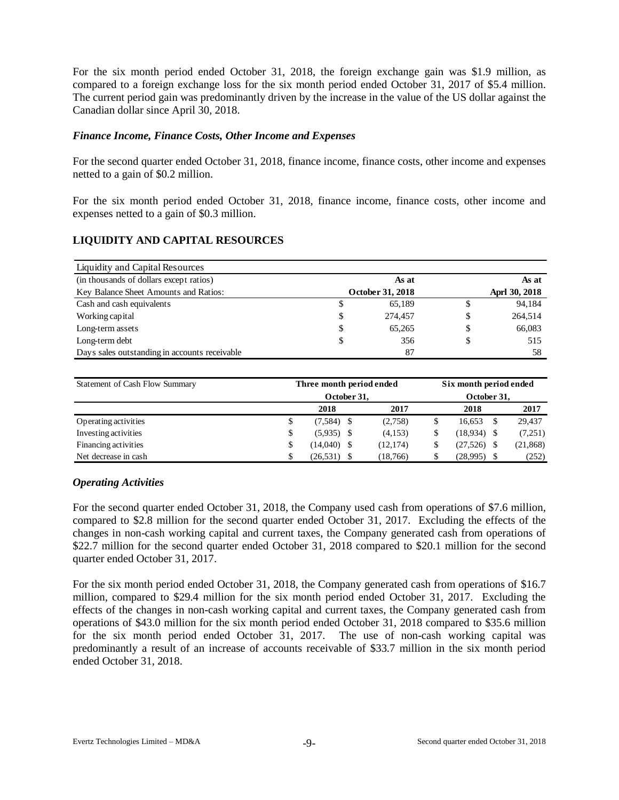For the six month period ended October 31, 2018, the foreign exchange gain was \$1.9 million, as compared to a foreign exchange loss for the six month period ended October 31, 2017 of \$5.4 million. The current period gain was predominantly driven by the increase in the value of the US dollar against the Canadian dollar since April 30, 2018.

#### *Finance Income, Finance Costs, Other Income and Expenses*

For the second quarter ended October 31, 2018, finance income, finance costs, other income and expenses netted to a gain of \$0.2 million.

For the six month period ended October 31, 2018, finance income, finance costs, other income and expenses netted to a gain of \$0.3 million.

### **LIQUIDITY AND CAPITAL RESOURCES**

| Liquidity and Capital Resources               |    |                  |               |
|-----------------------------------------------|----|------------------|---------------|
| (in thousands of dollars except ratios)       |    | As at            | As at         |
| Key Balance Sheet Amounts and Ratios:         |    | October 31, 2018 | Aprl 30, 2018 |
| Cash and cash equivalents                     | S  | 65,189           | 94,184        |
| Working capital                               | \$ | 274.457          | \$<br>264,514 |
| Long-term assets                              | \$ | 65,265           | \$<br>66,083  |
| Long-term debt                                | \$ | 356              | \$<br>515     |
| Days sales outstanding in accounts receivable |    | 87               | 58            |

| Statement of Cash Flow Summary |    | Three month period ended |           | Six month period ended<br>October 31. |          |      |           |  |  |
|--------------------------------|----|--------------------------|-----------|---------------------------------------|----------|------|-----------|--|--|
|                                |    | October 31.              |           |                                       |          |      |           |  |  |
|                                |    | 2018                     | 2017      |                                       | 2018     |      | 2017      |  |  |
| Operating activities           | \$ | $(7,584)$ \$             | (2,758)   |                                       | 16.653   | S    | 29,437    |  |  |
| Investing activities           | \$ | $(5,935)$ \$             | (4,153)   |                                       | (18,934) | - \$ | (7,251)   |  |  |
| Financing activities           | \$ | $(14,040)$ \$            | (12, 174) |                                       | (27,526) |      | (21, 868) |  |  |
| Net decrease in cash           | S  | (26, 531)                | (18, 766) |                                       | (28,995) |      | (252)     |  |  |

#### *Operating Activities*

For the second quarter ended October 31, 2018, the Company used cash from operations of \$7.6 million, compared to \$2.8 million for the second quarter ended October 31, 2017. Excluding the effects of the changes in non-cash working capital and current taxes, the Company generated cash from operations of \$22.7 million for the second quarter ended October 31, 2018 compared to \$20.1 million for the second quarter ended October 31, 2017.

For the six month period ended October 31, 2018, the Company generated cash from operations of \$16.7 million, compared to \$29.4 million for the six month period ended October 31, 2017. Excluding the effects of the changes in non-cash working capital and current taxes, the Company generated cash from operations of \$43.0 million for the six month period ended October 31, 2018 compared to \$35.6 million for the six month period ended October 31, 2017. The use of non-cash working capital was predominantly a result of an increase of accounts receivable of \$33.7 million in the six month period ended October 31, 2018.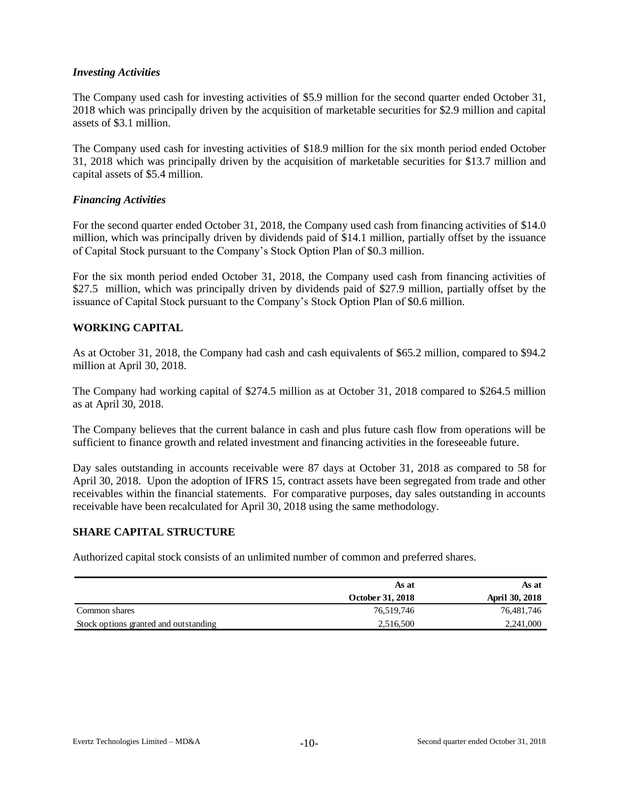### *Investing Activities*

The Company used cash for investing activities of \$5.9 million for the second quarter ended October 31, 2018 which was principally driven by the acquisition of marketable securities for \$2.9 million and capital assets of \$3.1 million.

The Company used cash for investing activities of \$18.9 million for the six month period ended October 31, 2018 which was principally driven by the acquisition of marketable securities for \$13.7 million and capital assets of \$5.4 million.

### *Financing Activities*

For the second quarter ended October 31, 2018, the Company used cash from financing activities of \$14.0 million, which was principally driven by dividends paid of \$14.1 million, partially offset by the issuance of Capital Stock pursuant to the Company's Stock Option Plan of \$0.3 million.

For the six month period ended October 31, 2018, the Company used cash from financing activities of \$27.5 million, which was principally driven by dividends paid of \$27.9 million, partially offset by the issuance of Capital Stock pursuant to the Company's Stock Option Plan of \$0.6 million.

### **WORKING CAPITAL**

As at October 31, 2018, the Company had cash and cash equivalents of \$65.2 million, compared to \$94.2 million at April 30, 2018.

The Company had working capital of \$274.5 million as at October 31, 2018 compared to \$264.5 million as at April 30, 2018.

The Company believes that the current balance in cash and plus future cash flow from operations will be sufficient to finance growth and related investment and financing activities in the foreseeable future.

Day sales outstanding in accounts receivable were 87 days at October 31, 2018 as compared to 58 for April 30, 2018. Upon the adoption of IFRS 15, contract assets have been segregated from trade and other receivables within the financial statements. For comparative purposes, day sales outstanding in accounts receivable have been recalculated for April 30, 2018 using the same methodology.

#### **SHARE CAPITAL STRUCTURE**

Authorized capital stock consists of an unlimited number of common and preferred shares.

|                                       | As at            | As at                 |
|---------------------------------------|------------------|-----------------------|
|                                       | October 31, 2018 | <b>April 30, 2018</b> |
| Common shares                         | 76,519,746       | 76,481,746            |
| Stock options granted and outstanding | 2,516,500        | 2,241,000             |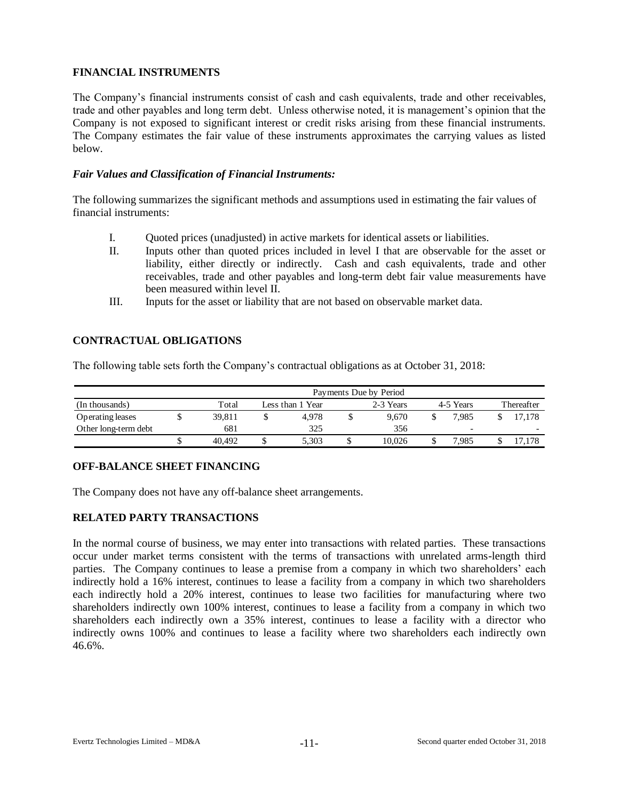# **FINANCIAL INSTRUMENTS**

The Company's financial instruments consist of cash and cash equivalents, trade and other receivables, trade and other payables and long term debt. Unless otherwise noted, it is management's opinion that the Company is not exposed to significant interest or credit risks arising from these financial instruments. The Company estimates the fair value of these instruments approximates the carrying values as listed below.

### *Fair Values and Classification of Financial Instruments:*

The following summarizes the significant methods and assumptions used in estimating the fair values of financial instruments:

- I. Quoted prices (unadjusted) in active markets for identical assets or liabilities.
- II. Inputs other than quoted prices included in level I that are observable for the asset or liability, either directly or indirectly. Cash and cash equivalents, trade and other receivables, trade and other payables and long-term debt fair value measurements have been measured within level II.
- III. Inputs for the asset or liability that are not based on observable market data.

### **CONTRACTUAL OBLIGATIONS**

The following table sets forth the Company's contractual obligations as at October 31, 2018:

|                      | Payments Due by Period |  |                  |  |           |           |                          |  |                          |  |  |  |  |  |
|----------------------|------------------------|--|------------------|--|-----------|-----------|--------------------------|--|--------------------------|--|--|--|--|--|
| (In thousands)       | Total                  |  | Less than 1 Year |  | 2-3 Years | 4-5 Years | Thereafter               |  |                          |  |  |  |  |  |
| Operating leases     | 39.811                 |  | 4.978            |  | 9.670     |           | 7.985                    |  | 17.178                   |  |  |  |  |  |
| Other long-term debt | 681                    |  | 325              |  | 356       |           | $\overline{\phantom{0}}$ |  | $\overline{\phantom{0}}$ |  |  |  |  |  |
|                      | 40.492                 |  | 5.303            |  | 10.026    |           | .985                     |  |                          |  |  |  |  |  |

# **OFF-BALANCE SHEET FINANCING**

The Company does not have any off-balance sheet arrangements.

### **RELATED PARTY TRANSACTIONS**

In the normal course of business, we may enter into transactions with related parties. These transactions occur under market terms consistent with the terms of transactions with unrelated arms-length third parties. The Company continues to lease a premise from a company in which two shareholders' each indirectly hold a 16% interest, continues to lease a facility from a company in which two shareholders each indirectly hold a 20% interest, continues to lease two facilities for manufacturing where two shareholders indirectly own 100% interest, continues to lease a facility from a company in which two shareholders each indirectly own a 35% interest, continues to lease a facility with a director who indirectly owns 100% and continues to lease a facility where two shareholders each indirectly own 46.6%.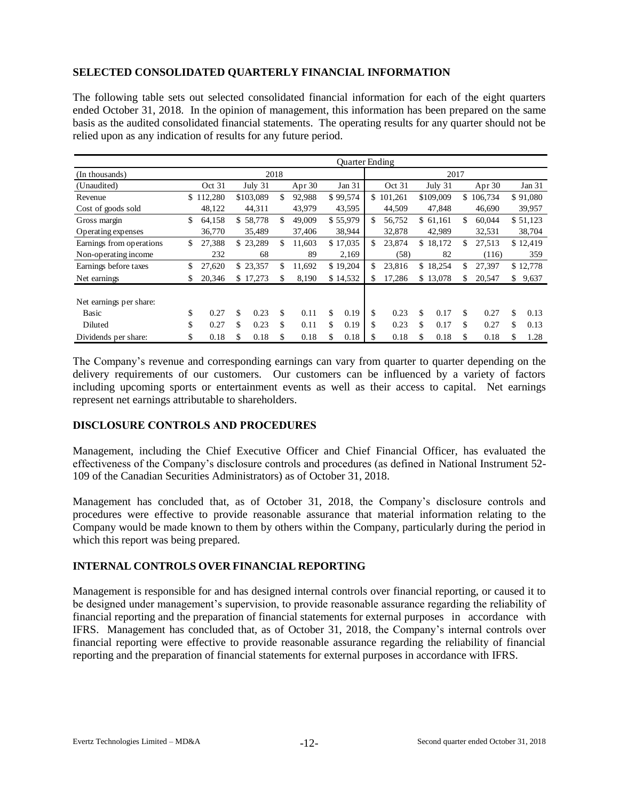# **SELECTED CONSOLIDATED QUARTERLY FINANCIAL INFORMATION**

The following table sets out selected consolidated financial information for each of the eight quarters ended October 31, 2018. In the opinion of management, this information has been prepared on the same basis as the audited consolidated financial statements. The operating results for any quarter should not be relied upon as any indication of results for any future period.

|                          |     |         |    |           |      |        | <b>Ouarter Ending</b> |               |    |           |               |    |          |
|--------------------------|-----|---------|----|-----------|------|--------|-----------------------|---------------|----|-----------|---------------|----|----------|
| (In thousands)           |     |         |    |           | 2018 |        |                       |               |    | 2017      |               |    |          |
| (Unaudited)              |     | Oct 31  |    | July 31   |      | Apr 30 | Jan 31                | Oct 31        |    | July 31   | Apr $30$      |    | Jan 31   |
| Revenue                  | \$. | 112,280 |    | \$103,089 | \$   | 92,988 | \$99,574              | \$<br>101,261 |    | \$109,009 | \$<br>106.734 |    | \$91,080 |
| Cost of goods sold       |     | 48,122  |    | 44,311    |      | 43,979 | 43,595                | 44,509        |    | 47,848    | 46,690        |    | 39,957   |
| Gross margin             | \$  | 64,158  |    | \$58,778  | \$   | 49,009 | \$55,979              | \$<br>56,752  |    | \$61,161  | \$<br>60,044  |    | \$51,123 |
| Operating expenses       |     | 36,770  |    | 35,489    |      | 37,406 | 38,944                | 32,878        |    | 42,989    | 32,531        |    | 38,704   |
| Earnings from operations | \$  | 27,388  |    | \$23,289  | \$   | 11.603 | \$17,035              | \$<br>23,874  |    | \$18,172  | \$<br>27,513  |    | \$12,419 |
| Non-operating income     |     | 232     |    | 68        |      | 89     | 2,169                 | (58)          |    | 82        | (116)         |    | 359      |
| Earnings before taxes    | \$  | 27,620  |    | \$23,357  | \$   | 11.692 | \$19,204              | \$<br>23,816  |    | \$18,254  | \$<br>27,397  |    | \$12,778 |
| Net earnings             | \$  | 20,346  |    | \$17,273  |      | 8,190  | \$14,532              | \$<br>17,286  |    | \$13,078  | \$<br>20,547  | \$ | 9,637    |
|                          |     |         |    |           |      |        |                       |               |    |           |               |    |          |
| Net earnings per share:  |     |         |    |           |      |        |                       |               |    |           |               |    |          |
| Basic                    | \$  | 0.27    | \$ | 0.23      | \$   | 0.11   | \$<br>0.19            | \$<br>0.23    | \$ | 0.17      | \$<br>0.27    | \$ | 0.13     |
| Diluted                  | \$  | 0.27    | \$ | 0.23      | \$   | 0.11   | \$<br>0.19            | \$<br>0.23    | \$ | 0.17      | \$<br>0.27    | \$ | 0.13     |
| Dividends per share:     | \$  | 0.18    | S  | 0.18      | S    | 0.18   | \$<br>0.18            | 0.18          | S  | 0.18      | \$<br>0.18    | S  | 1.28     |

The Company's revenue and corresponding earnings can vary from quarter to quarter depending on the delivery requirements of our customers. Our customers can be influenced by a variety of factors including upcoming sports or entertainment events as well as their access to capital. Net earnings represent net earnings attributable to shareholders.

### **DISCLOSURE CONTROLS AND PROCEDURES**

Management, including the Chief Executive Officer and Chief Financial Officer, has evaluated the effectiveness of the Company's disclosure controls and procedures (as defined in National Instrument 52- 109 of the Canadian Securities Administrators) as of October 31, 2018.

Management has concluded that, as of October 31, 2018, the Company's disclosure controls and procedures were effective to provide reasonable assurance that material information relating to the Company would be made known to them by others within the Company, particularly during the period in which this report was being prepared.

### **INTERNAL CONTROLS OVER FINANCIAL REPORTING**

Management is responsible for and has designed internal controls over financial reporting, or caused it to be designed under management's supervision, to provide reasonable assurance regarding the reliability of financial reporting and the preparation of financial statements for external purposes in accordance with IFRS. Management has concluded that, as of October 31, 2018, the Company's internal controls over financial reporting were effective to provide reasonable assurance regarding the reliability of financial reporting and the preparation of financial statements for external purposes in accordance with IFRS.